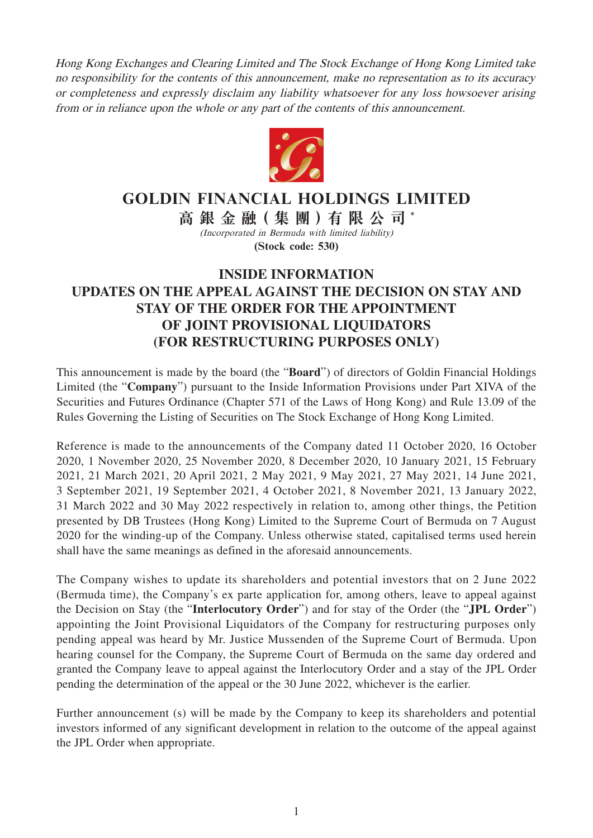Hong Kong Exchanges and Clearing Limited and The Stock Exchange of Hong Kong Limited take no responsibility for the contents of this announcement, make no representation as to its accuracy or completeness and expressly disclaim any liability whatsoever for any loss howsoever arising from or in reliance upon the whole or any part of the contents of this announcement.



## **GOLDIN FINANCIAL HOLDINGS LIMITED**

**高銀金融( 集 團 )有限公司** \* (Incorporated in Bermuda with limited liability) **(Stock code: 530)**

## **INSIDE INFORMATION UPDATES ON THE APPEAL AGAINST THE DECISION ON STAY AND STAY OF THE ORDER FOR THE APPOINTMENT OF JOINT PROVISIONAL LIQUIDATORS (FOR RESTRUCTURING PURPOSES ONLY)**

This announcement is made by the board (the "**Board**") of directors of Goldin Financial Holdings Limited (the "**Company**") pursuant to the Inside Information Provisions under Part XIVA of the Securities and Futures Ordinance (Chapter 571 of the Laws of Hong Kong) and Rule 13.09 of the Rules Governing the Listing of Securities on The Stock Exchange of Hong Kong Limited.

Reference is made to the announcements of the Company dated 11 October 2020, 16 October 2020, 1 November 2020, 25 November 2020, 8 December 2020, 10 January 2021, 15 February 2021, 21 March 2021, 20 April 2021, 2 May 2021, 9 May 2021, 27 May 2021, 14 June 2021, 3 September 2021, 19 September 2021, 4 October 2021, 8 November 2021, 13 January 2022, 31 March 2022 and 30 May 2022 respectively in relation to, among other things, the Petition presented by DB Trustees (Hong Kong) Limited to the Supreme Court of Bermuda on 7 August 2020 for the winding-up of the Company. Unless otherwise stated, capitalised terms used herein shall have the same meanings as defined in the aforesaid announcements.

The Company wishes to update its shareholders and potential investors that on 2 June 2022 (Bermuda time), the Company's ex parte application for, among others, leave to appeal against the Decision on Stay (the "**Interlocutory Order**") and for stay of the Order (the "**JPL Order**") appointing the Joint Provisional Liquidators of the Company for restructuring purposes only pending appeal was heard by Mr. Justice Mussenden of the Supreme Court of Bermuda. Upon hearing counsel for the Company, the Supreme Court of Bermuda on the same day ordered and granted the Company leave to appeal against the Interlocutory Order and a stay of the JPL Order pending the determination of the appeal or the 30 June 2022, whichever is the earlier.

Further announcement (s) will be made by the Company to keep its shareholders and potential investors informed of any significant development in relation to the outcome of the appeal against the JPL Order when appropriate.